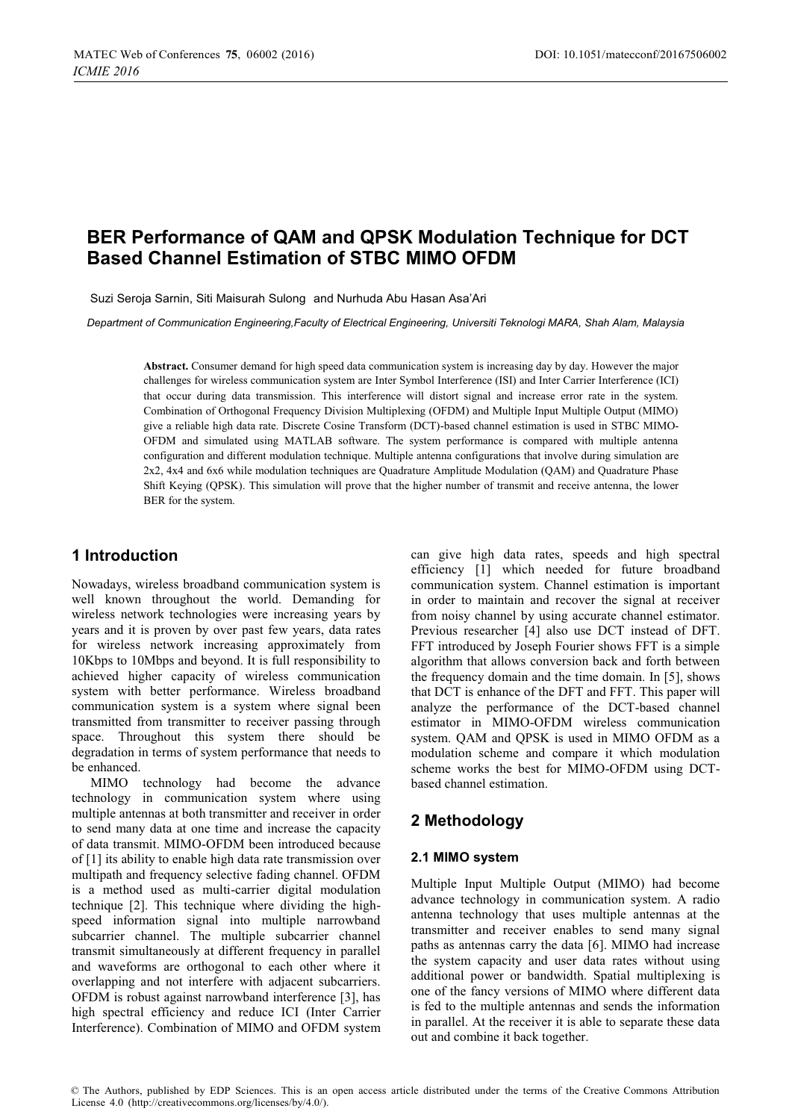# **BER Performance of QAM and QPSK Modulation Technique for DCT Based Channel Estimation of STBC MIMO OFDM**

Suzi Seroja Sarnin, Siti Maisurah Sulong and Nurhuda Abu Hasan Asa'Ari

*Department of Communication Engineering,Faculty of Electrical Engineering, Universiti Teknologi MARA, Shah Alam, Malaysia* 

**Abstract.** Consumer demand for high speed data communication system is increasing day by day. However the major challenges for wireless communication system are Inter Symbol Interference (ISI) and Inter Carrier Interference (ICI) that occur during data transmission. This interference will distort signal and increase error rate in the system. Combination of Orthogonal Frequency Division Multiplexing (OFDM) and Multiple Input Multiple Output (MIMO) give a reliable high data rate. Discrete Cosine Transform (DCT)-based channel estimation is used in STBC MIMO-OFDM and simulated using MATLAB software. The system performance is compared with multiple antenna configuration and different modulation technique. Multiple antenna configurations that involve during simulation are 2x2, 4x4 and 6x6 while modulation techniques are Quadrature Amplitude Modulation (QAM) and Quadrature Phase Shift Keying (QPSK). This simulation will prove that the higher number of transmit and receive antenna, the lower BER for the system.

## **1 Introduction**

Nowadays, wireless broadband communication system is well known throughout the world. Demanding for wireless network technologies were increasing years by years and it is proven by over past few years, data rates for wireless network increasing approximately from 10Kbps to 10Mbps and beyond. It is full responsibility to achieved higher capacity of wireless communication system with better performance. Wireless broadband communication system is a system where signal been transmitted from transmitter to receiver passing through space. Throughout this system there should be degradation in terms of system performance that needs to be enhanced.

MIMO technology had become the advance technology in communication system where using multiple antennas at both transmitter and receiver in order to send many data at one time and increase the capacity of data transmit. MIMO-OFDM been introduced because of [1] its ability to enable high data rate transmission over multipath and frequency selective fading channel. OFDM is a method used as multi-carrier digital modulation technique [2]. This technique where dividing the highspeed information signal into multiple narrowband subcarrier channel. The multiple subcarrier channel transmit simultaneously at different frequency in parallel and waveforms are orthogonal to each other where it overlapping and not interfere with adjacent subcarriers. OFDM is robust against narrowband interference [3], has high spectral efficiency and reduce ICI (Inter Carrier Interference). Combination of MIMO and OFDM system can give high data rates, speeds and high spectral efficiency [1] which needed for future broadband communication system. Channel estimation is important in order to maintain and recover the signal at receiver from noisy channel by using accurate channel estimator. Previous researcher [4] also use DCT instead of DFT. FFT introduced by Joseph Fourier shows FFT is a simple algorithm that allows conversion back and forth between the frequency domain and the time domain. In [5], shows that DCT is enhance of the DFT and FFT. This paper will analyze the performance of the DCT-based channel estimator in MIMO-OFDM wireless communication system. QAM and QPSK is used in MIMO OFDM as a modulation scheme and compare it which modulation scheme works the best for MIMO-OFDM using DCTbased channel estimation.

# **2 Methodology**

#### **2.1 MIMO system**

Multiple Input Multiple Output (MIMO) had become advance technology in communication system. A radio antenna technology that uses multiple antennas at the transmitter and receiver enables to send many signal paths as antennas carry the data [6]. MIMO had increase the system capacity and user data rates without using additional power or bandwidth. Spatial multiplexing is one of the fancy versions of MIMO where different data is fed to the multiple antennas and sends the information in parallel. At the receiver it is able to separate these data out and combine it back together.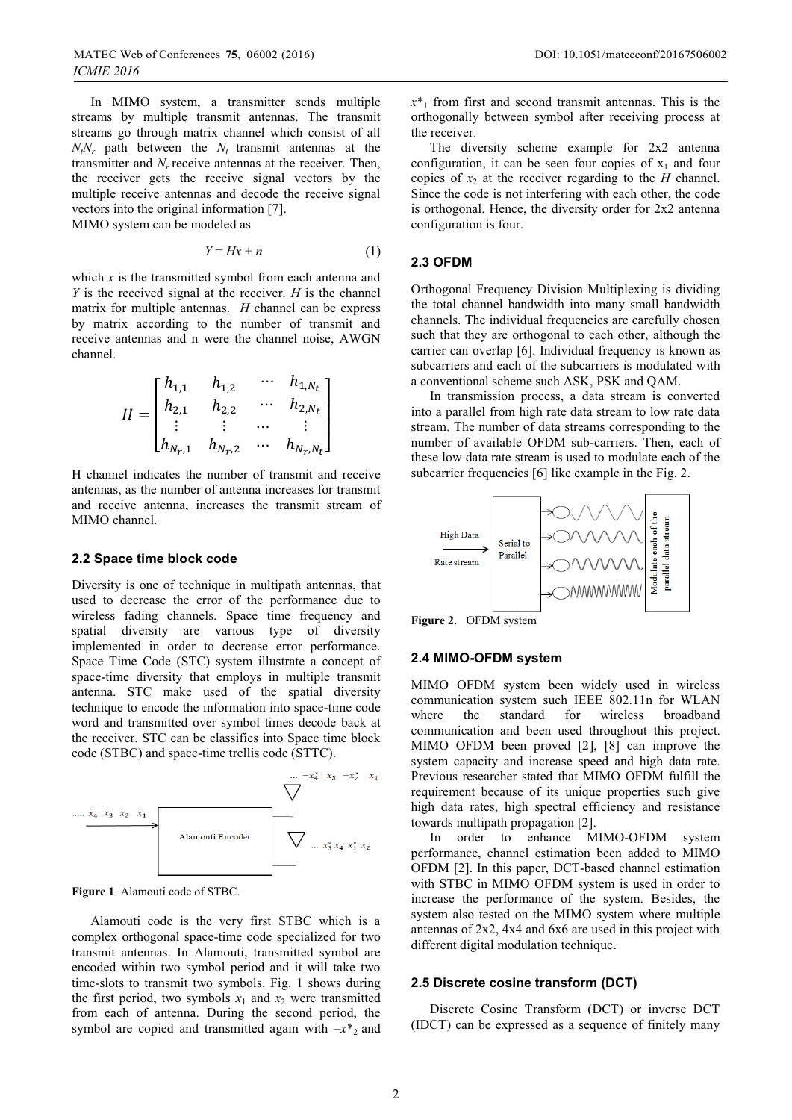In MIMO system, a transmitter sends multiple streams by multiple transmit antennas. The transmit streams go through matrix channel which consist of all  $N_tN_r$  path between the  $N_t$  transmit antennas at the transmitter and  $N_r$  receive antennas at the receiver. Then, the receiver gets the receive signal vectors by the multiple receive antennas and decode the receive signal vectors into the original information [7]. MIMO system can be modeled as

$$
Y = Hx + n \tag{1}
$$

which  $x$  is the transmitted symbol from each antenna and *Y* is the received signal at the receiver. *H* is the channel matrix for multiple antennas. *H* channel can be express by matrix according to the number of transmit and receive antennas and n were the channel noise, AWGN channel.

$$
H = \begin{bmatrix} h_{1,1} & h_{1,2} & \cdots & h_{1,N_t} \\ h_{2,1} & h_{2,2} & \cdots & h_{2,N_t} \\ \vdots & \vdots & \cdots & \vdots \\ h_{N_r,1} & h_{N_r,2} & \cdots & h_{N_r,N_t} \end{bmatrix}
$$

H channel indicates the number of transmit and receive antennas, as the number of antenna increases for transmit and receive antenna, increases the transmit stream of MIMO channel.

#### **2.2 Space time block code**

Diversity is one of technique in multipath antennas, that used to decrease the error of the performance due to wireless fading channels. Space time frequency and spatial diversity are various type of diversity implemented in order to decrease error performance. Space Time Code (STC) system illustrate a concept of space-time diversity that employs in multiple transmit antenna. STC make used of the spatial diversity technique to encode the information into space-time code word and transmitted over symbol times decode back at the receiver. STC can be classifies into Space time block code (STBC) and space-time trellis code (STTC).



**Figure 1**. Alamouti code of STBC.

Alamouti code is the very first STBC which is a complex orthogonal space-time code specialized for two transmit antennas. In Alamouti, transmitted symbol are encoded within two symbol period and it will take two time-slots to transmit two symbols. Fig. 1 shows during the first period, two symbols  $x_1$  and  $x_2$  were transmitted from each of antenna. During the second period, the symbol are copied and transmitted again with  $-x^*$ <sub>2</sub> and  $x^*$ <sup>1</sup> from first and second transmit antennas. This is the orthogonally between symbol after receiving process at the receiver.

The diversity scheme example for 2x2 antenna configuration, it can be seen four copies of  $x_1$  and four copies of  $x_2$  at the receiver regarding to the *H* channel. Since the code is not interfering with each other, the code is orthogonal. Hence, the diversity order for 2x2 antenna configuration is four.

### **2.3 OFDM**

Orthogonal Frequency Division Multiplexing is dividing the total channel bandwidth into many small bandwidth channels. The individual frequencies are carefully chosen such that they are orthogonal to each other, although the carrier can overlap [6]. Individual frequency is known as subcarriers and each of the subcarriers is modulated with a conventional scheme such ASK, PSK and QAM.

In transmission process, a data stream is converted into a parallel from high rate data stream to low rate data stream. The number of data streams corresponding to the number of available OFDM sub-carriers. Then, each of these low data rate stream is used to modulate each of the subcarrier frequencies [6] like example in the Fig. 2.



**Figure 2**. OFDM system

#### **2.4 MIMO-OFDM system**

MIMO OFDM system been widely used in wireless communication system such IEEE 802.11n for WLAN where the standard for wireless broadband communication and been used throughout this project. MIMO OFDM been proved [2], [8] can improve the system capacity and increase speed and high data rate. Previous researcher stated that MIMO OFDM fulfill the requirement because of its unique properties such give high data rates, high spectral efficiency and resistance towards multipath propagation [2].

In order to enhance MIMO-OFDM system performance, channel estimation been added to MIMO OFDM [2]. In this paper, DCT-based channel estimation with STBC in MIMO OFDM system is used in order to increase the performance of the system. Besides, the system also tested on the MIMO system where multiple antennas of 2x2, 4x4 and 6x6 are used in this project with different digital modulation technique.

#### **2.5 Discrete cosine transform (DCT)**

Discrete Cosine Transform (DCT) or inverse DCT (IDCT) can be expressed as a sequence of finitely many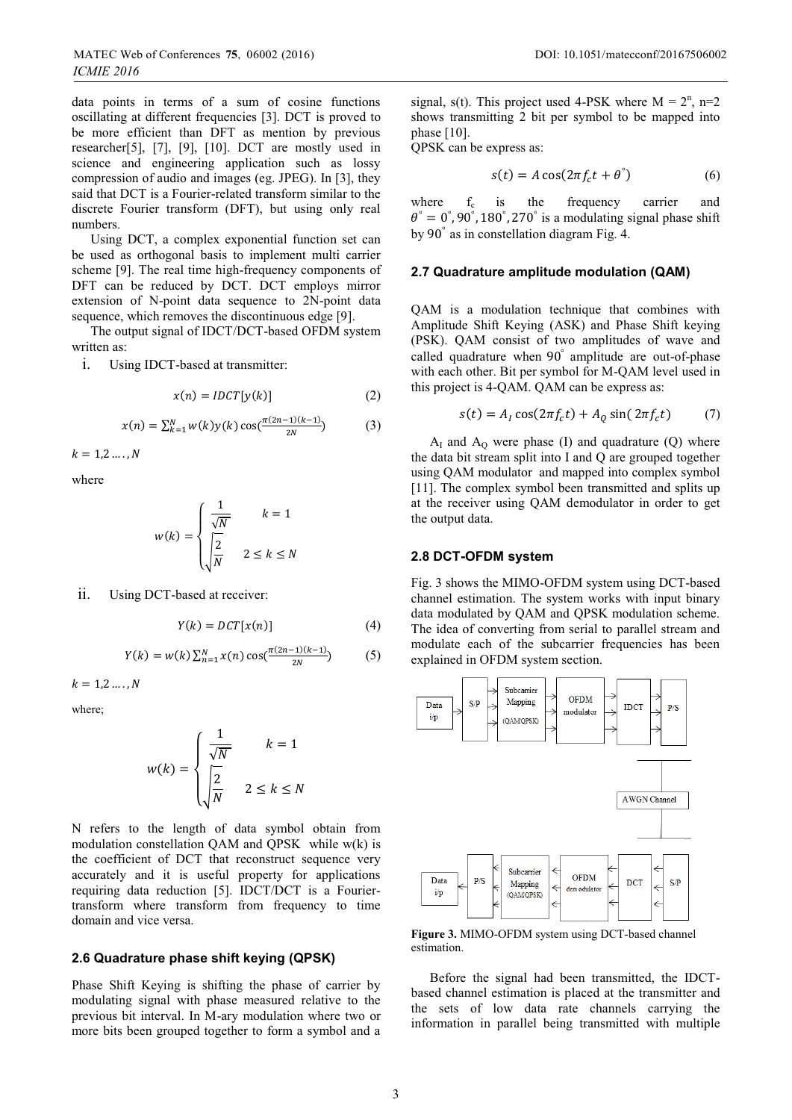data points in terms of a sum of cosine functions oscillating at different frequencies [3]. DCT is proved to be more efficient than DFT as mention by previous researcher[5], [7], [9], [10]. DCT are mostly used in science and engineering application such as lossy compression of audio and images (eg. JPEG). In [3], they said that DCT is a Fourier-related transform similar to the discrete Fourier transform (DFT), but using only real numbers.

Using DCT, a complex exponential function set can be used as orthogonal basis to implement multi carrier scheme [9]. The real time high-frequency components of DFT can be reduced by DCT. DCT employs mirror extension of N-point data sequence to 2N-point data sequence, which removes the discontinuous edge [9].

The output signal of IDCT/DCT-based OFDM system written as:

i. Using IDCT-based at transmitter:

$$
x(n) = IDCT[y(k)]
$$
 (2)

$$
x(n) = \sum_{k=1}^{N} w(k) y(k) \cos(\frac{\pi(2n-1)(k-1)}{2N})
$$
 (3)

 $k = 1, 2, ..., N$ 

where

$$
w(k) = \begin{cases} \frac{1}{\sqrt{N}} & k = 1\\ \frac{2}{\sqrt{N}} & 2 \le k \le N \end{cases}
$$

ii. Using DCT-based at receiver:

$$
Y(k) = DCT[x(n)] \tag{4}
$$

$$
Y(k) = w(k) \sum_{n=1}^{N} x(n) \cos(\frac{\pi (2n-1)(k-1)}{2N})
$$
 (5)

 $k = 1, 2, ..., N$ 

where;

$$
w(k) = \begin{cases} \frac{1}{\sqrt{N}} & k = 1\\ \sqrt{\frac{2}{N}} & 2 \le k \le N \end{cases}
$$

N refers to the length of data symbol obtain from modulation constellation QAM and QPSK while w(k) is the coefficient of DCT that reconstruct sequence very accurately and it is useful property for applications requiring data reduction [5]. IDCT/DCT is a Fouriertransform where transform from frequency to time domain and vice versa.

### **2.6 Quadrature phase shift keying (QPSK)**

Phase Shift Keying is shifting the phase of carrier by modulating signal with phase measured relative to the previous bit interval. In M-ary modulation where two or more bits been grouped together to form a symbol and a

signal, s(t). This project used 4-PSK where  $M = 2<sup>n</sup>$ , n=2 shows transmitting 2 bit per symbol to be mapped into phase [10].

QPSK can be express as:

$$
s(t) = A\cos(2\pi f_c t + \theta^*)
$$
 (6)

where  $f_c$  is the frequency carrier and  $\theta^{\degree} = 0^{\degree}$ , 90 $^{\degree}$ , 180 $^{\degree}$ , 270 $^{\degree}$  is a modulating signal phase shift by 90° as in constellation diagram Fig. 4.

#### **2.7 Quadrature amplitude modulation (QAM)**

QAM is a modulation technique that combines with Amplitude Shift Keying (ASK) and Phase Shift keying (PSK). QAM consist of two amplitudes of wave and called quadrature when 90° amplitude are out-of-phase with each other. Bit per symbol for M-QAM level used in this project is 4-QAM. QAM can be express as:

$$
s(t) = AI \cos(2\pi f_c t) + AQ \sin(2\pi f_c t)
$$
 (7)

 $A_I$  and  $A_O$  were phase (I) and quadrature (Q) where the data bit stream split into I and Q are grouped together using QAM modulator and mapped into complex symbol [11]. The complex symbol been transmitted and splits up at the receiver using QAM demodulator in order to get the output data.

#### **2.8 DCT-OFDM system**

Fig. 3 shows the MIMO-OFDM system using DCT-based channel estimation. The system works with input binary data modulated by QAM and QPSK modulation scheme. The idea of converting from serial to parallel stream and modulate each of the subcarrier frequencies has been explained in OFDM system section.



**Figure 3.** MIMO-OFDM system using DCT-based channel estimation.

Before the signal had been transmitted, the IDCTbased channel estimation is placed at the transmitter and the sets of low data rate channels carrying the information in parallel being transmitted with multiple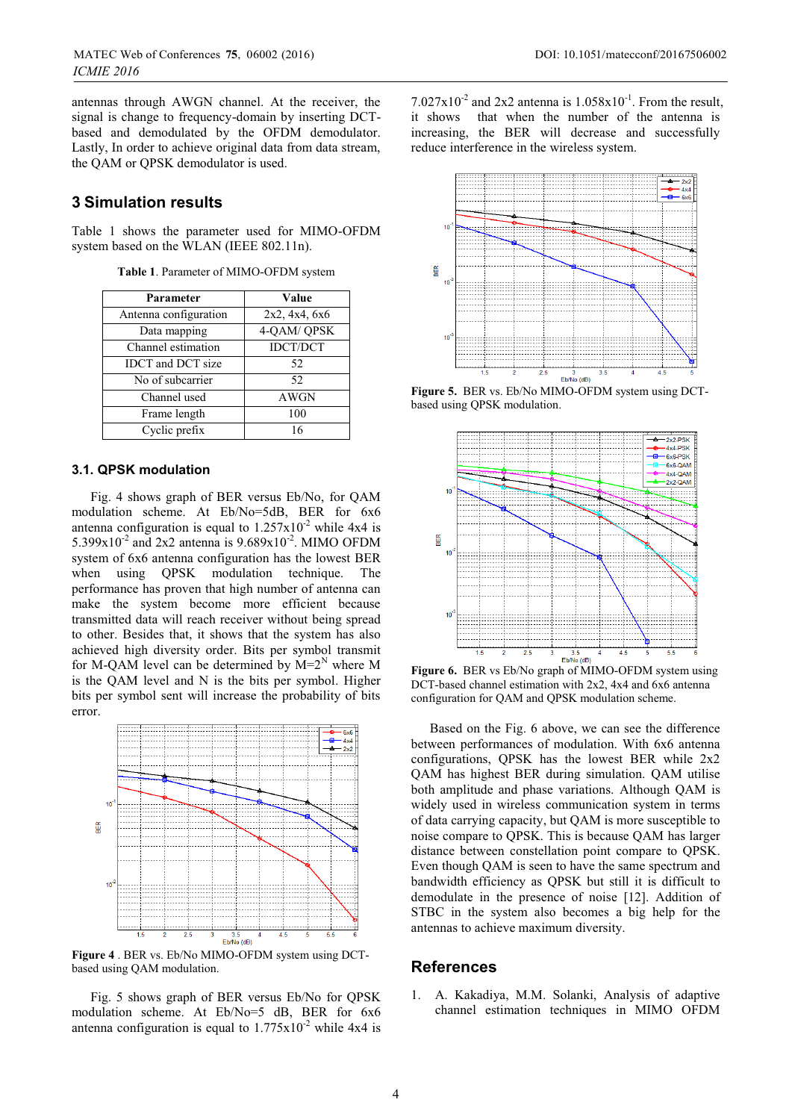antennas through AWGN channel. At the receiver, the signal is change to frequency-domain by inserting DCTbased and demodulated by the OFDM demodulator. Lastly, In order to achieve original data from data stream, the QAM or QPSK demodulator is used.

### **3 Simulation results**

Table 1 shows the parameter used for MIMO-OFDM system based on the WLAN (IEEE 802.11n).

**Table 1**. Parameter of MIMO-OFDM system

| Parameter                | Value           |
|--------------------------|-----------------|
| Antenna configuration    | 2x2, 4x4, 6x6   |
| Data mapping             | 4-QAM/QPSK      |
| Channel estimation       | <b>IDCT/DCT</b> |
| <b>IDCT</b> and DCT size | 52              |
| No of subcarrier         | 52              |
| Channel used             | AWGN            |
| Frame length             | 100             |
| Cyclic prefix            | 16              |

#### **3.1. QPSK modulation**

Fig. 4 shows graph of BER versus Eb/No, for QAM modulation scheme. At Eb/No=5dB, BER for 6x6 antenna configuration is equal to  $1.257 \times 10^{-2}$  while 4x4 is 5.399 $x10^{-2}$  and 2x2 antenna is 9.689 $x10^{-2}$ . MIMO OFDM system of 6x6 antenna configuration has the lowest BER when using QPSK modulation technique. The performance has proven that high number of antenna can make the system become more efficient because transmitted data will reach receiver without being spread to other. Besides that, it shows that the system has also achieved high diversity order. Bits per symbol transmit for M-QAM level can be determined by  $M=2^N$  where M is the QAM level and N is the bits per symbol. Higher bits per symbol sent will increase the probability of bits error.



**Figure 4** . BER vs. Eb/No MIMO-OFDM system using DCTbased using QAM modulation.

Fig. 5 shows graph of BER versus Eb/No for QPSK modulation scheme. At Eb/No=5 dB, BER for 6x6 antenna configuration is equal to  $1.775 \times 10^{-2}$  while 4x4 is

 $7.027 \times 10^{-2}$  and 2x2 antenna is  $1.058 \times 10^{-1}$ . From the result, it shows that when the number of the antenna is increasing, the BER will decrease and successfully reduce interference in the wireless system.



**Figure 5.** BER vs. Eb/No MIMO-OFDM system using DCTbased using QPSK modulation.



**Figure 6.** BER vs Eb/No graph of MIMO-OFDM system using DCT-based channel estimation with 2x2, 4x4 and 6x6 antenna configuration for QAM and QPSK modulation scheme.

Based on the Fig. 6 above, we can see the difference between performances of modulation. With 6x6 antenna configurations, QPSK has the lowest BER while 2x2 QAM has highest BER during simulation. QAM utilise both amplitude and phase variations. Although QAM is widely used in wireless communication system in terms of data carrying capacity, but QAM is more susceptible to noise compare to QPSK. This is because QAM has larger distance between constellation point compare to QPSK. Even though QAM is seen to have the same spectrum and bandwidth efficiency as QPSK but still it is difficult to demodulate in the presence of noise [12]. Addition of STBC in the system also becomes a big help for the antennas to achieve maximum diversity.

### **References**

1. A. Kakadiya, M.M. Solanki, Analysis of adaptive channel estimation techniques in MIMO OFDM